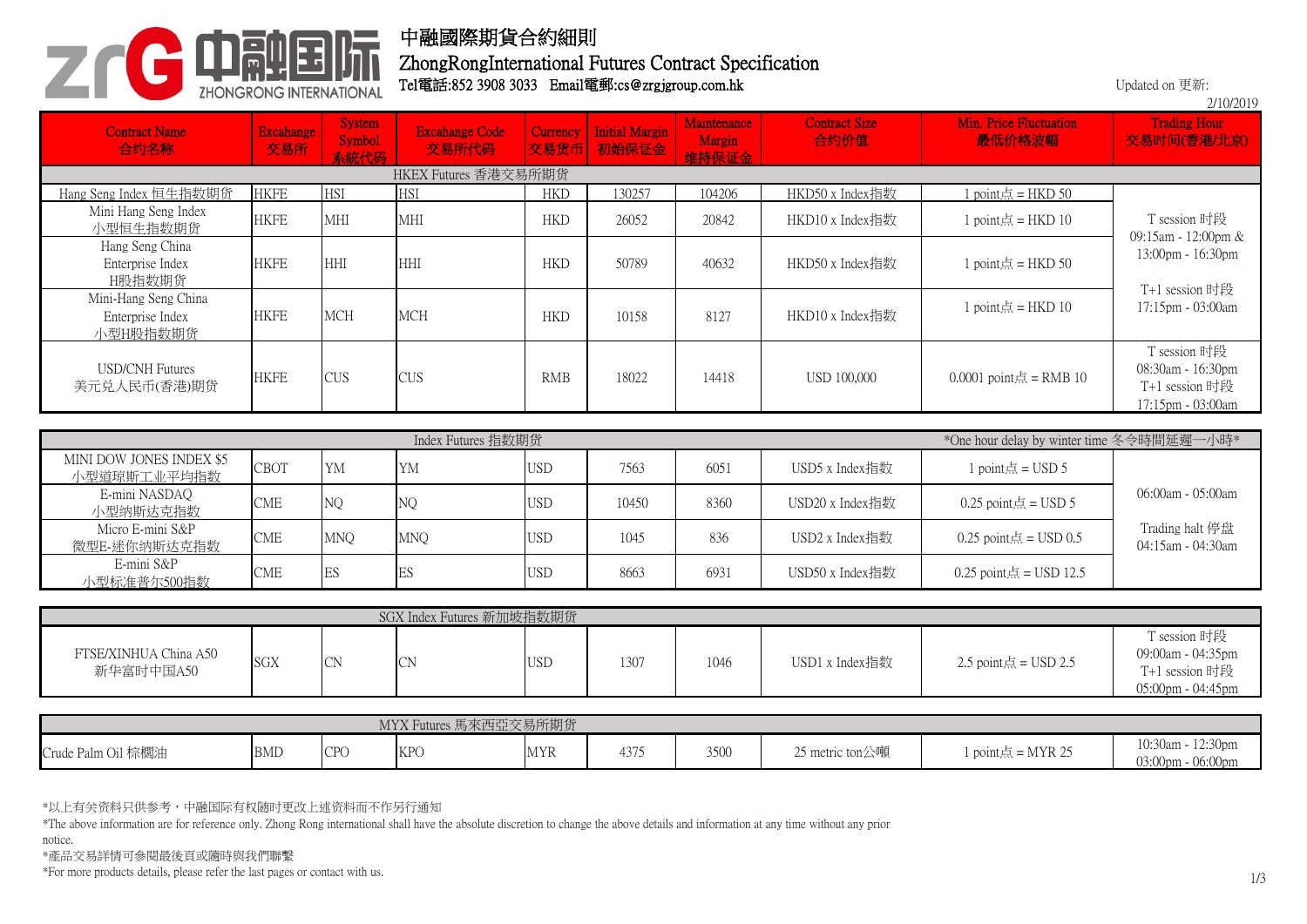

## 中融國際期貨合約細則

## Tel電話:852 3908 3033 Email電郵:cs@zrgjgroup.com.hk ZhongRongInternational Futures Contract Specification

Updated on 更新:

|                                                      |                         |                                 |                                |                  |                                |                                       |                              |                                           | 2/10/2019                                                                |  |
|------------------------------------------------------|-------------------------|---------------------------------|--------------------------------|------------------|--------------------------------|---------------------------------------|------------------------------|-------------------------------------------|--------------------------------------------------------------------------|--|
| <b>Contract Name</b><br>合约名称                         | <b>Excahange</b><br>交易所 | <b>System</b><br>Symbol<br>玄姑代码 | <b>Excahange Code</b><br>交易所代码 | Currency<br>交易货币 | <b>Initial Margin</b><br>初始保证金 | Maintenance<br><b>Margin</b><br>维持保证会 | <b>Contract Size</b><br>合约价值 | Min. Price Fluctuation<br>最低价格波幅          | <b>Trading Hour</b><br>交易时间(香港/北京)                                       |  |
|                                                      | HKEX Futures 香港交易所期货    |                                 |                                |                  |                                |                                       |                              |                                           |                                                                          |  |
| Hang Seng Index 恒生指数期货                               | <b>HKFE</b>             | <b>HSI</b>                      | <b>HSI</b>                     | <b>HKD</b>       | 130257                         | 104206                                | HKD50 x Index指数              | $1$ point点 = HKD 50                       |                                                                          |  |
| Mini Hang Seng Index<br>小型恒生指数期货                     | <b>HKFE</b>             | <b>MHI</b>                      | <b>MHI</b>                     | <b>HKD</b>       | 26052                          | 20842                                 | HKD10 x Index指数              | $1$ point点 = HKD $10$                     | T session 时段<br>09:15am - 12:00pm &                                      |  |
| Hang Seng China<br>Enterprise Index<br>H股指数期货        | <b>HKFE</b>             | <b>HHI</b>                      | HHI                            | <b>HKD</b>       | 50789                          | 40632                                 | HKD50 x Index指数              | $1$ point点 = HKD 50                       | 13:00pm - 16:30pm<br>T+1 session 时段                                      |  |
| Mini-Hang Seng China<br>Enterprise Index<br>小型H股指数期货 | <b>HKFE</b>             | <b>MCH</b>                      | <b>MCH</b>                     | <b>HKD</b>       | 10158                          | 8127                                  | HKD10 x Index指数              | 1 point $\frac{1}{10}$ = HKD 10           | 17:15pm - 03:00am                                                        |  |
| <b>USD/CNH Futures</b><br>美元兑人民币(香港)期货               | <b>HKFE</b>             | <b>CUS</b>                      | <b>CUS</b>                     | <b>RMB</b>       | 18022                          | 14418                                 | <b>USD 100,000</b>           | $0.0001$ point点 = RMB 10                  | T session 时段<br>08:30am - 16:30pm<br>T+1 session 时段<br>17:15pm - 03:00am |  |
|                                                      |                         |                                 |                                |                  |                                |                                       |                              |                                           |                                                                          |  |
|                                                      |                         |                                 | Index Futures 指数期货             |                  |                                |                                       |                              | *One hour delay by winter time 冬令時間延遲一小時* |                                                                          |  |
| MINI DOW JONES INDEX \$5<br>小型道琼斯工业平均指数              | CBOT                    | <b>YM</b>                       | YM                             | <b>USD</b>       | 7563                           | 6051                                  | USD5 x Index指数               | 1 point $\frac{1}{10}$ = USD 5            |                                                                          |  |
| E-mini NASDAQ<br>小型纳斯达克指数                            | <b>CME</b>              | NQ                              | NQ                             | <b>USD</b>       | 10450                          | 8360                                  | USD20 x Index指数              | 0.25 point $\frac{1}{100}$ = USD 5        | $06:00am - 05:00am$                                                      |  |
| Micro E-mini S&P<br>微型E-迷你纳斯达克指数                     | <b>CME</b>              | <b>MNQ</b>                      | <b>MNQ</b>                     | <b>USD</b>       | 1045                           | 836                                   | USD2 x Index指数               | 0.25 point $\ddot{\mathcal{A}}$ = USD 0.5 | Trading halt 停盘<br>04:15am - 04:30am                                     |  |
| E-mini S&P<br>小型标准普尔500指数                            | <b>CME</b>              | $\mathop{\hbox{\rm ES}}$        | $\mathop{\hbox{\rm ES}}$       | <b>USD</b>       | 8663                           | 6931                                  | USD50 x Index指数              | $0.25$ point点 = USD 12.5                  |                                                                          |  |
|                                                      |                         |                                 |                                |                  |                                |                                       |                              |                                           |                                                                          |  |
|                                                      |                         |                                 | SGX Index Futures 新加坡指数期货      |                  |                                |                                       |                              |                                           |                                                                          |  |
| FTSE/XINHUA China A50<br>新华富时中国A50                   | SGX                     | CN                              | <b>CN</b>                      | <b>USD</b>       | 1307                           | 1046                                  | USD1 x Index指数               | 2.5 point $\frac{1}{100}$ = USD 2.5       | T session 时段<br>09:00am - 04:35pm<br>T+1 session 时段                      |  |
|                                                      |                         |                                 |                                |                  |                                |                                       |                              |                                           | $05:00$ pm - $04:45$ pm                                                  |  |

| MYX Futures 馬來西亞交易所期货 |            |            |            |            |                     |      |                               |                     |                                        |
|-----------------------|------------|------------|------------|------------|---------------------|------|-------------------------------|---------------------|----------------------------------------|
| Crude Palm Oil 棕櫚油    | <b>BMD</b> | <b>CPC</b> | VDG<br>17T | <b>MYR</b> | $\sqrt{2}$<br>43 I. | 3500 | 25 metric ton公噸<br>$\sim$ $-$ | $1$ point点 = MYR 25 | 10:30am - 12:30pm<br>03:00pm - 06:00pm |

\*以上有关资料只供参考,中融国际有权随时更改上述资料而不作另行通知

\*The above information are for reference only. Zhong Rong international shall have the absolute discretion to change the above details and information at any time without any prior

notice.

\*產品交易詳情可參閱最後頁或隨時與我們聯繫

\*For more products details, please refer the last pages or contact with us.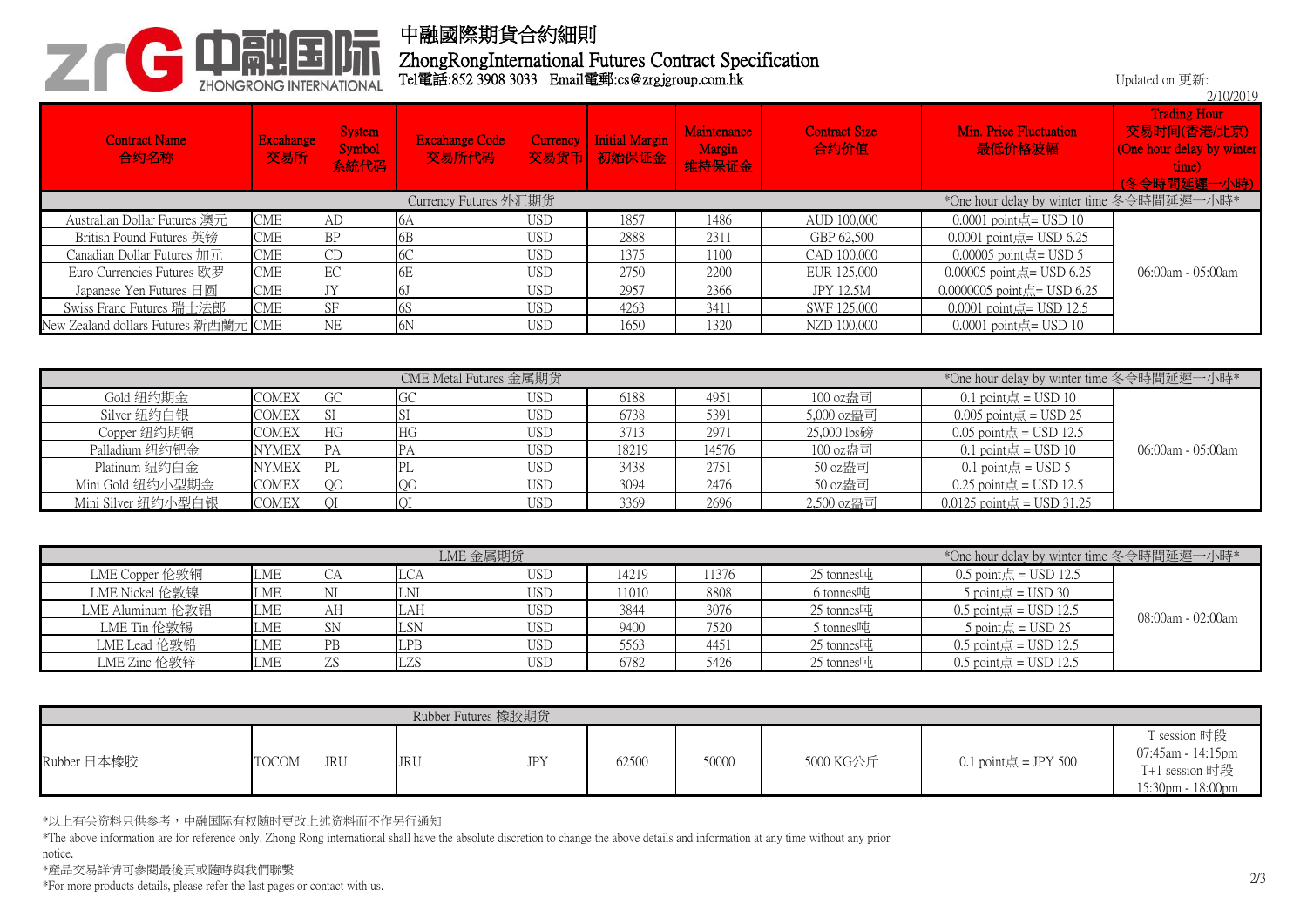

## 中融國際期貨合約細則

Tel電話:852 3908 3033 Email電郵:cs@zrgjgroup.com.hk ZhongRongInternational Futures Contract Specification

|                                                                    |                         |                                 |                                |            |                                     |                                |                              |                                        | 2/10/2019                                                                             |  |  |
|--------------------------------------------------------------------|-------------------------|---------------------------------|--------------------------------|------------|-------------------------------------|--------------------------------|------------------------------|----------------------------------------|---------------------------------------------------------------------------------------|--|--|
| <b>Contract Name</b><br>合约名称                                       | <b>Excahange</b><br>交易所 | <b>System</b><br>Symbol<br>系統代码 | <b>Excahange Code</b><br>交易所代码 | Currency   | <b>Initial Margin</b><br>文易货币 初始保证金 | Maintenance<br>Margin<br>维持保证金 | <b>Contract Size</b><br>合约价值 | Min. Price Fluctuation<br>最低价格波幅       | <b>Trading Hour</b><br>交易时间(香港/北京)<br>(One hour delay by winter<br>time)<br>久今時間延遲一小時 |  |  |
| Currency Futures 外汇期货<br>*One hour delay by winter time 冬令時間延遲一小時* |                         |                                 |                                |            |                                     |                                |                              |                                        |                                                                                       |  |  |
| Australian Dollar Futures 澳元                                       | <b>CME</b>              | AD                              | 16A                            | <b>USD</b> | 1857                                | 1486                           | AUD 100,000                  | $0.0001$ point点= USD 10                |                                                                                       |  |  |
| British Pound Futures 英镑                                           | <b>CME</b>              | <b>BP</b>                       | 6B                             | <b>USD</b> | 2888                                | 2311                           | GBP 62,500                   | 0.0001 point $\sinh 50.25$             |                                                                                       |  |  |
| Canadian Dollar Futures 加元                                         | <b>CME</b>              |                                 | 6C                             | <b>USD</b> | 1375                                | 1100                           | CAD 100,000                  | $0.00005$ point点= USD 5                |                                                                                       |  |  |
| Euro Currencies Futures 欧罗                                         | <b>CME</b>              | EC                              | 6E                             | <b>USD</b> | 2750                                | 2200                           | EUR 125,000                  | 0.00005 point $\frac{1}{100}$ USD 6.25 | $06:00$ am - $05:00$ am                                                               |  |  |
| Japanese Yen Futures $\boxdot$ $\boxdot$                           | <b>CME</b>              |                                 | <sup>6</sup>                   | <b>USD</b> | 2957                                | 2366                           | <b>JPY 12.5M</b>             | $0.0000005$ point点= USD 6.25           |                                                                                       |  |  |
| Swiss Franc Futures 瑞士法郎                                           | <b>CME</b>              | <b>SF</b>                       | 6S                             | <b>USD</b> | 4263                                | 3411                           | SWF 125,000                  | $0.0001$ point点= USD 12.5              |                                                                                       |  |  |
| New Zealand dollars Futures 新西蘭元 CME                               |                         | <b>NE</b>                       | 6N                             | <b>USD</b> | 1650                                | 1320                           | NZD 100,000                  | $0.0001$ point点= USD 10                |                                                                                       |  |  |

|                    | *One hour delay by winter time 冬令時間延遲一小時* |            |    |            |       |       |             |                                    |                   |
|--------------------|-------------------------------------------|------------|----|------------|-------|-------|-------------|------------------------------------|-------------------|
| Gold 纽约期金          | <b>COMEX</b>                              | GC         | GC | <b>USD</b> | 6188  | 4951  | 100 oz盎司    | 0.1 point $\sinh(1) = \sinh(1)$    |                   |
| Silver 纽约白银        | <b>COMEX</b>                              | ISI        |    | <b>USD</b> | 6738  | 5391  | 5,000 oz盎司  | $0.005$ point点 = USD 25            |                   |
| Copper 纽约期铜        | <b>COMEX</b>                              | HG         | HG | <b>USD</b> | 3713  | 2971  | 25,000 lbs磅 | $0.05$ point点 = USD 12.5           |                   |
| Palladium 纽约钯金     | <b>NYMEX</b>                              | <b>IPA</b> | FА | <b>USD</b> | 18219 | 14576 | 100 oz盎司    | 0.1 point $\frac{1}{100}$ = USD 10 | 06:00am - 05:00am |
| Platinum 纽约白金      | <b>NYMEX</b>                              | <b>PL</b>  | ᅟᅩ | <b>USD</b> | 3438  | 2751  | 50 oz盎司     | 0.1 point $\sinh(1) = \sinh(1)$    |                   |
| Mini Gold 纽约小型期金   | <b>COMEX</b>                              | QG         | QC | <b>USD</b> | 3094  | 2476  | 50 oz盎司     | $0.25$ point点 = USD 12.5           |                   |
| Mini Silver 纽约小型白银 | <b>COMEX</b>                              |            |    | <b>USD</b> | 3369  | 2696  | 2,500 oz盎司  | $0.0125$ point点 = USD 31.25        |                   |

|                  |            |    | LME 金属期货   | *One hour delay by winter time 冬令時間延遲一小時* |       |       |                        |                                  |                   |
|------------------|------------|----|------------|-------------------------------------------|-------|-------|------------------------|----------------------------------|-------------------|
| LME Copper 伦敦铜   | LME        |    | <b>LCA</b> | <b>USD</b>                                | 14219 | 11376 | 25 tonnes $\mathbb{H}$ | 0.5 point $\sin \in$ = USD 12.5  |                   |
| LME Nickel 伦敦镍   | LME        |    | LNI        | <b>USD</b>                                | 1010  | 8808  | 6 tonnes吨              | 5 point $\sinh(1) = \sinh(1)$    |                   |
| LME Aluminum 伦敦铝 | <b>LME</b> | Aп | LAH        | <b>USD</b>                                | 3844  | 3076  | 25 tonnes吨             | 0.5 point $\sinh(12.5)$          | 08:00am - 02:00am |
| LME Tin 伦敦锡      | LME        |    | LSN        | <b>USD</b>                                | 9400  | 7520  | 5 tonnes吨              | 5 point $\frac{1}{100}$ = USD 25 |                   |
| LME Lead 伦敦铅     | <b>LME</b> |    | LPB        | <b>USD</b>                                | 5563  | 4451  | 25 tonnes吨             | $0.5$ point点 = USD 12.5          |                   |
| LME Zinc 伦敦锌     | LME        |    | LZS        | <b>USD</b>                                | 6782  | 5426  | 25 tonnes吨             | 0.5 point $\ddot{m} =$ USD 12.5  |                   |

| Rubber Futures 橡胶期货 |              |            |            |            |       |       |           |                      |                                                                          |  |
|---------------------|--------------|------------|------------|------------|-------|-------|-----------|----------------------|--------------------------------------------------------------------------|--|
| Rubber 日本橡胶         | <b>TOCOM</b> | <b>JRU</b> | <b>JRU</b> | <b>JPY</b> | 62500 | 50000 | 5000 KG公斤 | 0.1 point点 = JPY 500 | T session 时段<br>07:45am - 14:15pm<br>T+1 session 时段<br>15:30pm - 18:00pm |  |

\*以上有关资料只供参考,中融国际有权随时更改上述资料而不作另行通知

\*The above information are for reference only. Zhong Rong international shall have the absolute discretion to change the above details and information at any time without any prior

notice.

\*產品交易詳情可參閱最後頁或隨時與我們聯繫

\*For more products details, please refer the last pages or contact with us.

Updated on 更新: